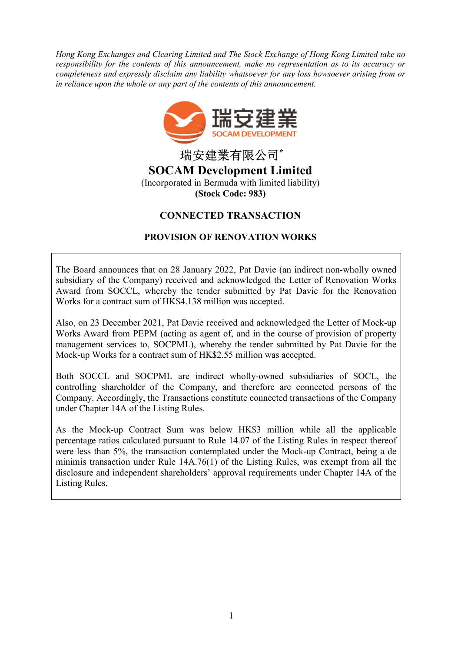Hong Kong Exchanges and Clearing Limited and The Stock Exchange of Hong Kong Limited take no responsibility for the contents of this announcement, make no representation as to its accuracy or completeness and expressly disclaim any liability whatsoever for any loss howsoever arising from or in reliance upon the whole or any part of the contents of this announcement.



瑞安建業有限公司\* SOCAM Development Limited (Incorporated in Bermuda with limited liability) (Stock Code: 983)

# CONNECTED TRANSACTION

# PROVISION OF RENOVATION WORKS

The Board announces that on 28 January 2022, Pat Davie (an indirect non-wholly owned subsidiary of the Company) received and acknowledged the Letter of Renovation Works Award from SOCCL, whereby the tender submitted by Pat Davie for the Renovation Works for a contract sum of HK\$4.138 million was accepted.

Also, on 23 December 2021, Pat Davie received and acknowledged the Letter of Mock-up Works Award from PEPM (acting as agent of, and in the course of provision of property management services to, SOCPML), whereby the tender submitted by Pat Davie for the Mock-up Works for a contract sum of HK\$2.55 million was accepted.

Both SOCCL and SOCPML are indirect wholly-owned subsidiaries of SOCL, the controlling shareholder of the Company, and therefore are connected persons of the Company. Accordingly, the Transactions constitute connected transactions of the Company under Chapter 14A of the Listing Rules.

As the Mock-up Contract Sum was below HK\$3 million while all the applicable percentage ratios calculated pursuant to Rule 14.07 of the Listing Rules in respect thereof were less than 5%, the transaction contemplated under the Mock-up Contract, being a de minimis transaction under Rule 14A.76(1) of the Listing Rules, was exempt from all the disclosure and independent shareholders' approval requirements under Chapter 14A of the Listing Rules.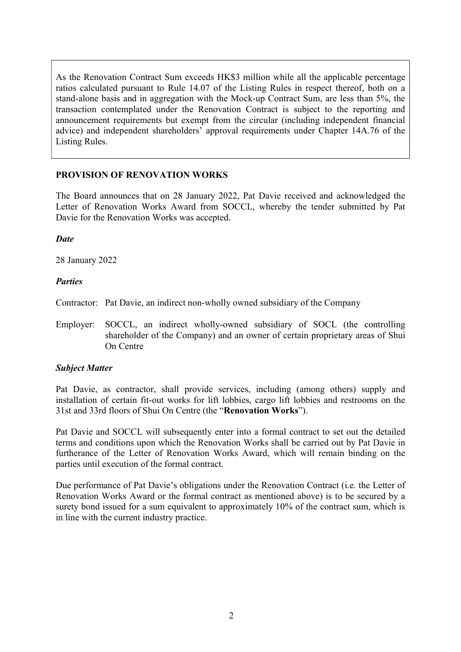As the Renovation Contract Sum exceeds HK\$3 million while all the applicable percentage ratios calculated pursuant to Rule 14.07 of the Listing Rules in respect thereof, both on a stand-alone basis and in aggregation with the Mock-up Contract Sum, are less than 5%, the transaction contemplated under the Renovation Contract is subject to the reporting and announcement requirements but exempt from the circular (including independent financial advice) and independent shareholders' approval requirements under Chapter 14A.76 of the Listing Rules.

## PROVISION OF RENOVATION WORKS

The Board announces that on 28 January 2022, Pat Davie received and acknowledged the Letter of Renovation Works Award from SOCCL, whereby the tender submitted by Pat Davie for the Renovation Works was accepted.

#### **Date**

28 January 2022

### **Parties**

Contractor: Pat Davie, an indirect non-wholly owned subsidiary of the Company

Employer: SOCCL, an indirect wholly-owned subsidiary of SOCL (the controlling shareholder of the Company) and an owner of certain proprietary areas of Shui On Centre

## Subject Matter

Pat Davie, as contractor, shall provide services, including (among others) supply and installation of certain fit-out works for lift lobbies, cargo lift lobbies and restrooms on the 31st and 33rd floors of Shui On Centre (the "Renovation Works").

Pat Davie and SOCCL will subsequently enter into a formal contract to set out the detailed terms and conditions upon which the Renovation Works shall be carried out by Pat Davie in furtherance of the Letter of Renovation Works Award, which will remain binding on the parties until execution of the formal contract.

Due performance of Pat Davie's obligations under the Renovation Contract (i.e. the Letter of Renovation Works Award or the formal contract as mentioned above) is to be secured by a surety bond issued for a sum equivalent to approximately 10% of the contract sum, which is in line with the current industry practice.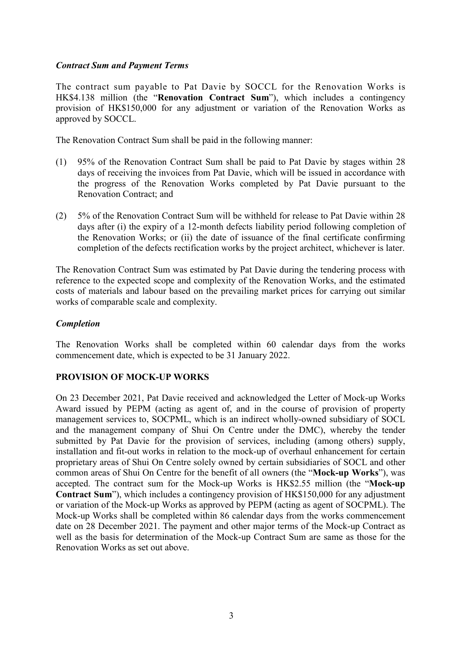### Contract Sum and Payment Terms

The contract sum payable to Pat Davie by SOCCL for the Renovation Works is HK\$4.138 million (the "Renovation Contract Sum"), which includes a contingency provision of HK\$150,000 for any adjustment or variation of the Renovation Works as approved by SOCCL.

The Renovation Contract Sum shall be paid in the following manner:

- (1) 95% of the Renovation Contract Sum shall be paid to Pat Davie by stages within 28 days of receiving the invoices from Pat Davie, which will be issued in accordance with the progress of the Renovation Works completed by Pat Davie pursuant to the Renovation Contract; and
- (2) 5% of the Renovation Contract Sum will be withheld for release to Pat Davie within 28 days after (i) the expiry of a 12-month defects liability period following completion of the Renovation Works; or (ii) the date of issuance of the final certificate confirming completion of the defects rectification works by the project architect, whichever is later.

The Renovation Contract Sum was estimated by Pat Davie during the tendering process with reference to the expected scope and complexity of the Renovation Works, and the estimated costs of materials and labour based on the prevailing market prices for carrying out similar works of comparable scale and complexity.

### Completion

The Renovation Works shall be completed within 60 calendar days from the works commencement date, which is expected to be 31 January 2022.

## PROVISION OF MOCK-UP WORKS

On 23 December 2021, Pat Davie received and acknowledged the Letter of Mock-up Works Award issued by PEPM (acting as agent of, and in the course of provision of property management services to, SOCPML, which is an indirect wholly-owned subsidiary of SOCL and the management company of Shui On Centre under the DMC), whereby the tender submitted by Pat Davie for the provision of services, including (among others) supply, installation and fit-out works in relation to the mock-up of overhaul enhancement for certain proprietary areas of Shui On Centre solely owned by certain subsidiaries of SOCL and other common areas of Shui On Centre for the benefit of all owners (the "Mock-up Works"), was accepted. The contract sum for the Mock-up Works is HK\$2.55 million (the "Mock-up Contract Sum"), which includes a contingency provision of HK\$150,000 for any adjustment or variation of the Mock-up Works as approved by PEPM (acting as agent of SOCPML). The Mock-up Works shall be completed within 86 calendar days from the works commencement date on 28 December 2021. The payment and other major terms of the Mock-up Contract as well as the basis for determination of the Mock-up Contract Sum are same as those for the Renovation Works as set out above.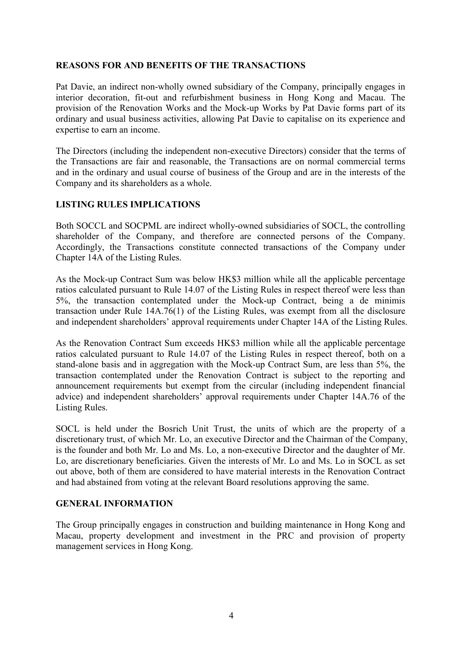## REASONS FOR AND BENEFITS OF THE TRANSACTIONS

Pat Davie, an indirect non-wholly owned subsidiary of the Company, principally engages in interior decoration, fit-out and refurbishment business in Hong Kong and Macau. The provision of the Renovation Works and the Mock-up Works by Pat Davie forms part of its ordinary and usual business activities, allowing Pat Davie to capitalise on its experience and expertise to earn an income.

The Directors (including the independent non-executive Directors) consider that the terms of the Transactions are fair and reasonable, the Transactions are on normal commercial terms and in the ordinary and usual course of business of the Group and are in the interests of the Company and its shareholders as a whole.

## LISTING RULES IMPLICATIONS

Both SOCCL and SOCPML are indirect wholly-owned subsidiaries of SOCL, the controlling shareholder of the Company, and therefore are connected persons of the Company. Accordingly, the Transactions constitute connected transactions of the Company under Chapter 14A of the Listing Rules.

As the Mock-up Contract Sum was below HK\$3 million while all the applicable percentage ratios calculated pursuant to Rule 14.07 of the Listing Rules in respect thereof were less than 5%, the transaction contemplated under the Mock-up Contract, being a de minimis transaction under Rule 14A.76(1) of the Listing Rules, was exempt from all the disclosure and independent shareholders' approval requirements under Chapter 14A of the Listing Rules.

As the Renovation Contract Sum exceeds HK\$3 million while all the applicable percentage ratios calculated pursuant to Rule 14.07 of the Listing Rules in respect thereof, both on a stand-alone basis and in aggregation with the Mock-up Contract Sum, are less than 5%, the transaction contemplated under the Renovation Contract is subject to the reporting and announcement requirements but exempt from the circular (including independent financial advice) and independent shareholders' approval requirements under Chapter 14A.76 of the Listing Rules.

SOCL is held under the Bosrich Unit Trust, the units of which are the property of a discretionary trust, of which Mr. Lo, an executive Director and the Chairman of the Company, is the founder and both Mr. Lo and Ms. Lo, a non-executive Director and the daughter of Mr. Lo, are discretionary beneficiaries. Given the interests of Mr. Lo and Ms. Lo in SOCL as set out above, both of them are considered to have material interests in the Renovation Contract and had abstained from voting at the relevant Board resolutions approving the same.

#### GENERAL INFORMATION

The Group principally engages in construction and building maintenance in Hong Kong and Macau, property development and investment in the PRC and provision of property management services in Hong Kong.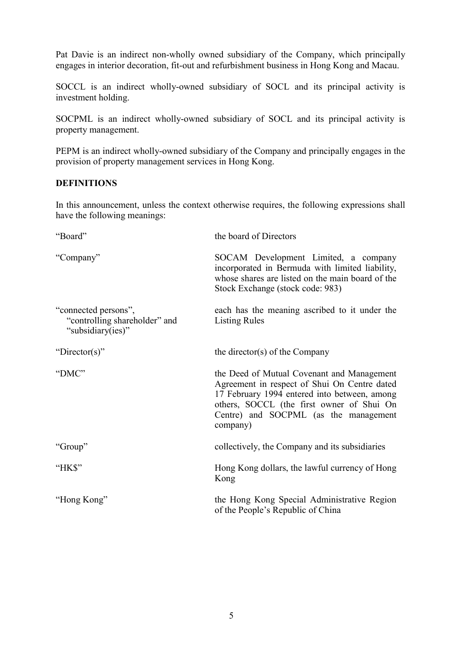Pat Davie is an indirect non-wholly owned subsidiary of the Company, which principally engages in interior decoration, fit-out and refurbishment business in Hong Kong and Macau.

SOCCL is an indirect wholly-owned subsidiary of SOCL and its principal activity is investment holding.

SOCPML is an indirect wholly-owned subsidiary of SOCL and its principal activity is property management.

PEPM is an indirect wholly-owned subsidiary of the Company and principally engages in the provision of property management services in Hong Kong.

# **DEFINITIONS**

In this announcement, unless the context otherwise requires, the following expressions shall have the following meanings:

| "Board"                                                                    | the board of Directors                                                                                                                                                                                                                       |
|----------------------------------------------------------------------------|----------------------------------------------------------------------------------------------------------------------------------------------------------------------------------------------------------------------------------------------|
| "Company"                                                                  | SOCAM Development Limited, a company<br>incorporated in Bermuda with limited liability,<br>whose shares are listed on the main board of the<br>Stock Exchange (stock code: 983)                                                              |
| "connected persons",<br>"controlling shareholder" and<br>"subsidiary(ies)" | each has the meaning ascribed to it under the<br><b>Listing Rules</b>                                                                                                                                                                        |
| "Director(s)"                                                              | the director(s) of the Company                                                                                                                                                                                                               |
| "DMC"                                                                      | the Deed of Mutual Covenant and Management<br>Agreement in respect of Shui On Centre dated<br>17 February 1994 entered into between, among<br>others, SOCCL (the first owner of Shui On<br>Centre) and SOCPML (as the management<br>company) |
| "Group"                                                                    | collectively, the Company and its subsidiaries                                                                                                                                                                                               |
| "HK\$"                                                                     | Hong Kong dollars, the lawful currency of Hong<br>Kong                                                                                                                                                                                       |
| "Hong Kong"                                                                | the Hong Kong Special Administrative Region<br>of the People's Republic of China                                                                                                                                                             |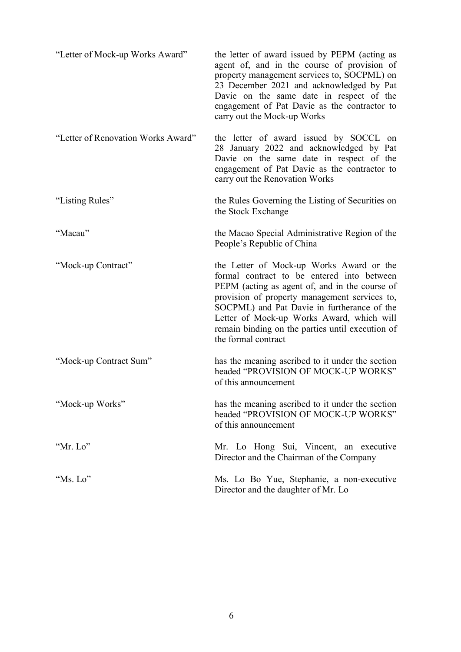| "Letter of Mock-up Works Award"    | the letter of award issued by PEPM (acting as<br>agent of, and in the course of provision of<br>property management services to, SOCPML) on<br>23 December 2021 and acknowledged by Pat<br>Davie on the same date in respect of the<br>engagement of Pat Davie as the contractor to<br>carry out the Mock-up Works                                               |
|------------------------------------|------------------------------------------------------------------------------------------------------------------------------------------------------------------------------------------------------------------------------------------------------------------------------------------------------------------------------------------------------------------|
| "Letter of Renovation Works Award" | the letter of award issued by SOCCL on<br>28 January 2022 and acknowledged by Pat<br>Davie on the same date in respect of the<br>engagement of Pat Davie as the contractor to<br>carry out the Renovation Works                                                                                                                                                  |
| "Listing Rules"                    | the Rules Governing the Listing of Securities on<br>the Stock Exchange                                                                                                                                                                                                                                                                                           |
| "Macau"                            | the Macao Special Administrative Region of the<br>People's Republic of China                                                                                                                                                                                                                                                                                     |
| "Mock-up Contract"                 | the Letter of Mock-up Works Award or the<br>formal contract to be entered into between<br>PEPM (acting as agent of, and in the course of<br>provision of property management services to,<br>SOCPML) and Pat Davie in furtherance of the<br>Letter of Mock-up Works Award, which will<br>remain binding on the parties until execution of<br>the formal contract |
| "Mock-up Contract Sum"             | has the meaning ascribed to it under the section<br>headed "PROVISION OF MOCK-UP WORKS"<br>of this announcement                                                                                                                                                                                                                                                  |
| "Mock-up Works"                    | has the meaning ascribed to it under the section<br>headed "PROVISION OF MOCK-UP WORKS"<br>of this announcement                                                                                                                                                                                                                                                  |
| "Mr. Lo"                           | Mr. Lo Hong Sui, Vincent, an executive<br>Director and the Chairman of the Company                                                                                                                                                                                                                                                                               |
| "Ms. Lo"                           | Ms. Lo Bo Yue, Stephanie, a non-executive<br>Director and the daughter of Mr. Lo                                                                                                                                                                                                                                                                                 |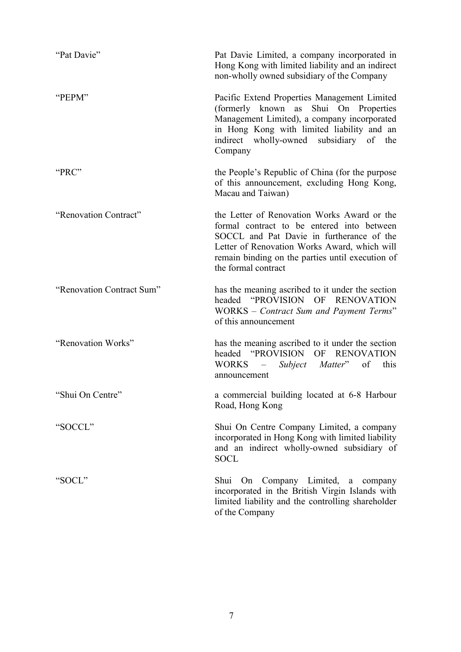| "Pat Davie"               | Pat Davie Limited, a company incorporated in<br>Hong Kong with limited liability and an indirect<br>non-wholly owned subsidiary of the Company                                                                                                                    |
|---------------------------|-------------------------------------------------------------------------------------------------------------------------------------------------------------------------------------------------------------------------------------------------------------------|
| "PEPM"                    | Pacific Extend Properties Management Limited<br>(formerly known as Shui On Properties<br>Management Limited), a company incorporated<br>in Hong Kong with limited liability and an<br>indirect wholly-owned subsidiary of the<br>Company                          |
| "PRC"                     | the People's Republic of China (for the purpose<br>of this announcement, excluding Hong Kong,<br>Macau and Taiwan)                                                                                                                                                |
| "Renovation Contract"     | the Letter of Renovation Works Award or the<br>formal contract to be entered into between<br>SOCCL and Pat Davie in furtherance of the<br>Letter of Renovation Works Award, which will<br>remain binding on the parties until execution of<br>the formal contract |
| "Renovation Contract Sum" | has the meaning ascribed to it under the section<br>headed "PROVISION OF RENOVATION<br>WORKS - Contract Sum and Payment Terms"<br>of this announcement                                                                                                            |
| "Renovation Works"        | has the meaning ascribed to it under the section<br>headed "PROVISION OF RENOVATION<br>WORKS – Subject Matter"<br>of<br>this<br>announcement                                                                                                                      |
| "Shui On Centre"          | a commercial building located at 6-8 Harbour<br>Road, Hong Kong                                                                                                                                                                                                   |
| "SOCCL"                   | Shui On Centre Company Limited, a company<br>incorporated in Hong Kong with limited liability<br>and an indirect wholly-owned subsidiary of<br><b>SOCL</b>                                                                                                        |
| "SOCL"                    | Shui On Company Limited,<br>a<br>company<br>incorporated in the British Virgin Islands with<br>limited liability and the controlling shareholder<br>of the Company                                                                                                |